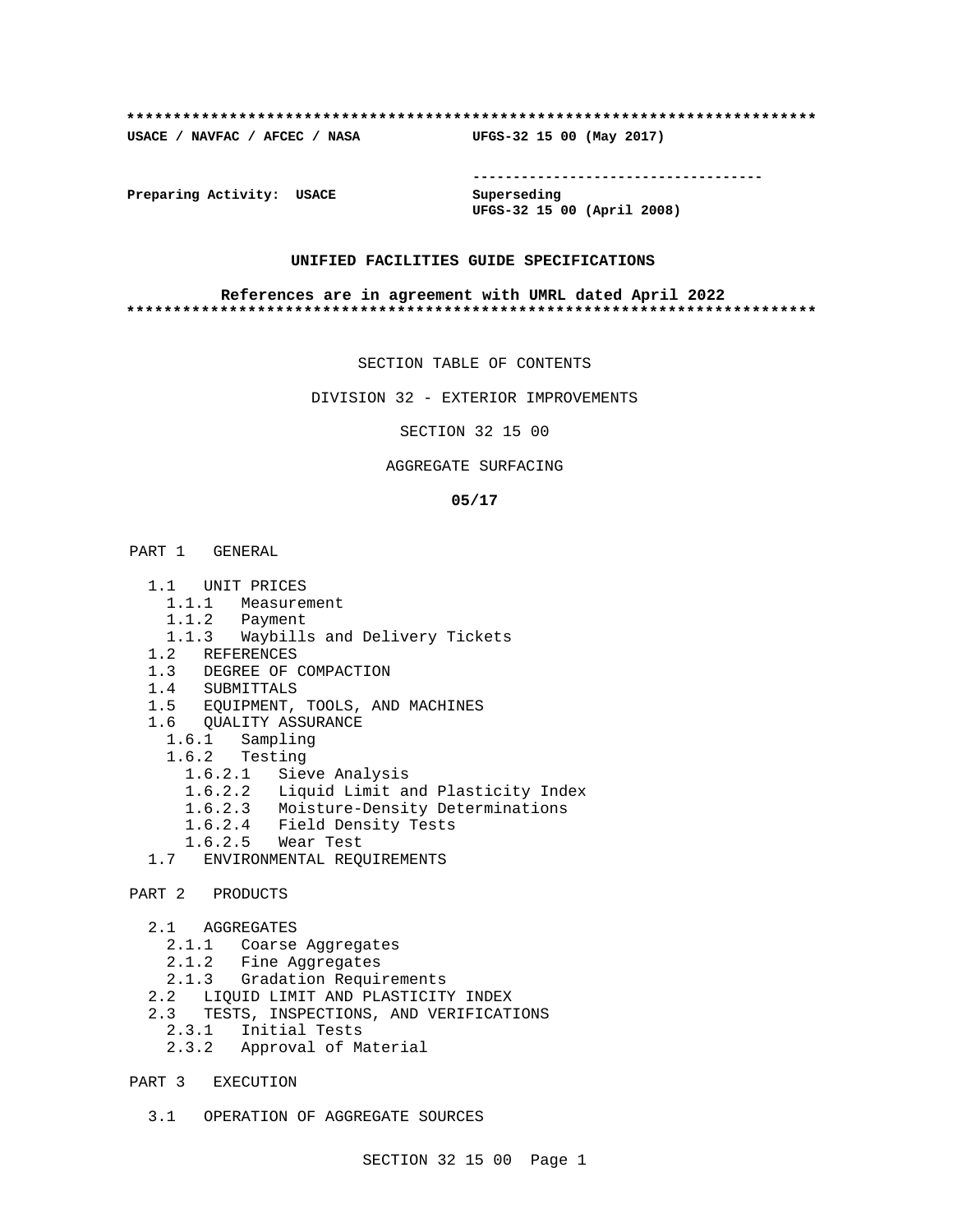### **\*\*\*\*\*\*\*\*\*\*\*\*\*\*\*\*\*\*\*\*\*\*\*\*\*\*\*\*\*\*\*\*\*\*\*\*\*\*\*\*\*\*\*\*\*\*\*\*\*\*\*\*\*\*\*\*\*\*\*\*\*\*\*\*\*\*\*\*\*\*\*\*\*\***

**USACE / NAVFAC / AFCEC / NASA UFGS-32 15 00 (May 2017)**

**------------------------------------**

**Preparing Activity: USACE Superseding**

**UFGS-32 15 00 (April 2008)**

## **UNIFIED FACILITIES GUIDE SPECIFICATIONS**

### **References are in agreement with UMRL dated April 2022 \*\*\*\*\*\*\*\*\*\*\*\*\*\*\*\*\*\*\*\*\*\*\*\*\*\*\*\*\*\*\*\*\*\*\*\*\*\*\*\*\*\*\*\*\*\*\*\*\*\*\*\*\*\*\*\*\*\*\*\*\*\*\*\*\*\*\*\*\*\*\*\*\*\***

SECTION TABLE OF CONTENTS

DIVISION 32 - EXTERIOR IMPROVEMENTS

SECTION 32 15 00

### AGGREGATE SURFACING

## **05/17**

PART 1 GENERAL

- 1.1 UNIT PRICES
	- 1.1.1 Measurement
	- 1.1.2 Payment
	- 1.1.3 Waybills and Delivery Tickets
- 1.2 REFERENCES
- 1.3 DEGREE OF COMPACTION
- 1.4 SUBMITTALS
- 1.5 EQUIPMENT, TOOLS, AND MACHINES
- 1.6 QUALITY ASSURANCE
	- 1.6.1 Sampling
	- 1.6.2 Testing
		- 1.6.2.1 Sieve Analysis
		- 1.6.2.2 Liquid Limit and Plasticity Index
		- 1.6.2.3 Moisture-Density Determinations
		- 1.6.2.4 Field Density Tests
		- 1.6.2.5 Wear Test
	- 1.7 ENVIRONMENTAL REQUIREMENTS
- PART 2 PRODUCTS
	- 2.1 AGGREGATES
		- 2.1.1 Coarse Aggregates
		- 2.1.2 Fine Aggregates
	- 2.1.3 Gradation Requirements
	- 2.2 LIQUID LIMIT AND PLASTICITY INDEX
	- 2.3 TESTS, INSPECTIONS, AND VERIFICATIONS
		- 2.3.1 Initial Tests
		- 2.3.2 Approval of Material
- PART 3 EXECUTION
	- 3.1 OPERATION OF AGGREGATE SOURCES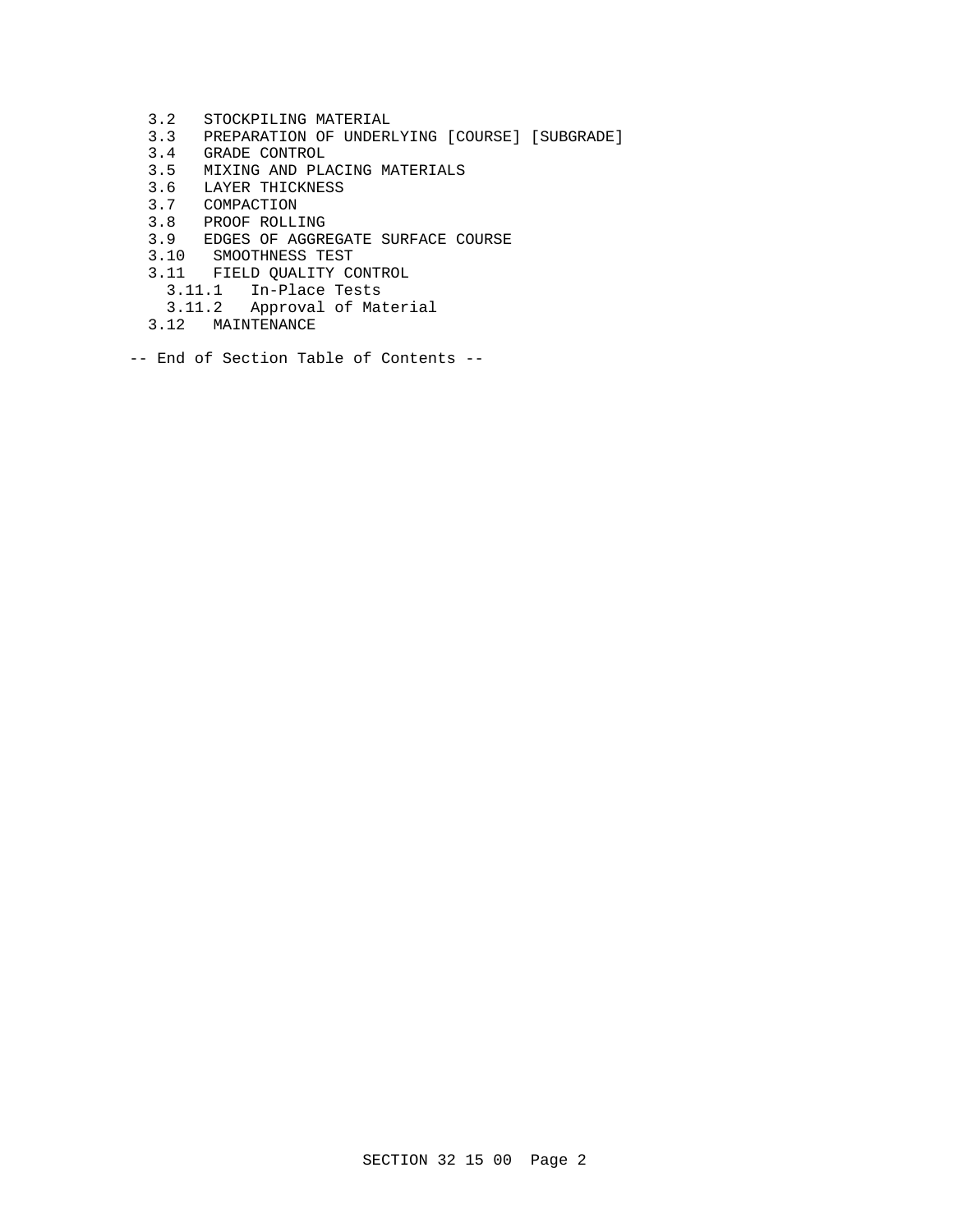- 3.2 STOCKPILING MATERIAL
- 3.3 PREPARATION OF UNDERLYING [COURSE] [SUBGRADE]
- 3.4 GRADE CONTROL
- 3.5 MIXING AND PLACING MATERIALS<br>3.6 LAYER THICKNESS
- 3.6 LAYER THICKNESS<br>3.7 COMPACTION
- 3.7 COMPACTION
- 3.8 PROOF ROLLING
- 3.9 EDGES OF AGGREGATE SURFACE COURSE
- 3.10 SMOOTHNESS TEST
- 3.11 FIELD QUALITY CONTROL
	- 3.11.1 In-Place Tests
- 3.11.2 Approval of Material
- 3.12 MAINTENANCE
- -- End of Section Table of Contents --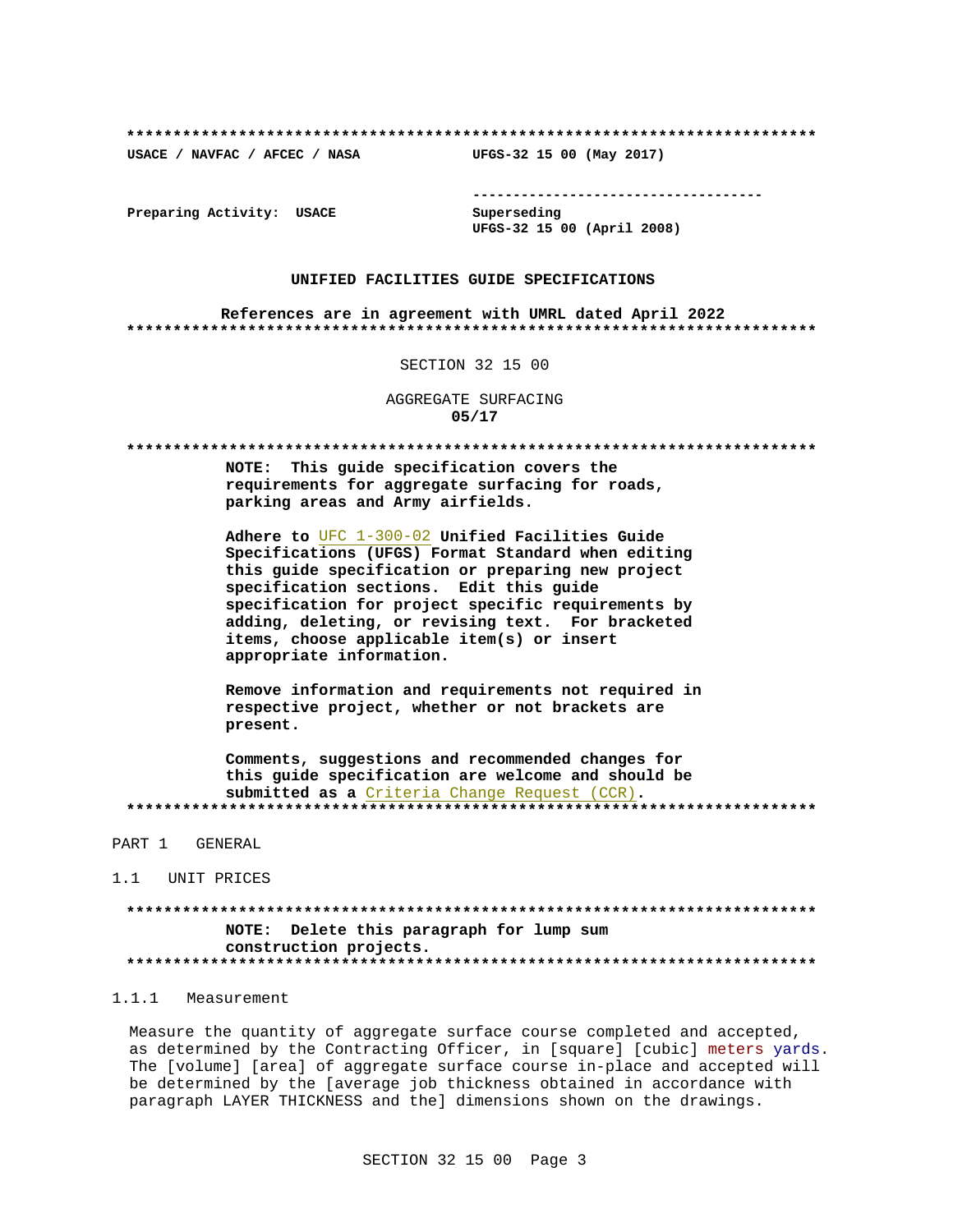USACE / NAVFAC / AFCEC / NASA

--------------------------------------

Preparing Activity: USACE

Superseding UFGS-32 15 00 (April 2008)

UFGS-32 15 00 (May 2017)

## UNIFIED FACILITIES GUIDE SPECIFICATIONS

References are in agreement with UMRL dated April 2022 

### SECTION 32 15 00

AGGREGATE SURFACING  $05/17$ 

NOTE: This quide specification covers the requirements for aggregate surfacing for roads, parking areas and Army airfields.

Adhere to UFC 1-300-02 Unified Facilities Guide Specifications (UFGS) Format Standard when editing this quide specification or preparing new project specification sections. Edit this guide specification for project specific requirements by adding, deleting, or revising text. For bracketed items, choose applicable item(s) or insert appropriate information.

Remove information and requirements not required in respective project, whether or not brackets are present.

Comments, suggestions and recommended changes for this guide specification are welcome and should be submitted as a Criteria Change Request (CCR). 

### PART 1 GENERAL

1.1 UNIT PRICES

NOTE: Delete this paragraph for lump sum construction projects. 

# 1.1.1 Measurement

Measure the quantity of aggregate surface course completed and accepted, as determined by the Contracting Officer, in [square] [cubic] meters yards. The [volume] [area] of aggregate surface course in-place and accepted will be determined by the [average job thickness obtained in accordance with paragraph LAYER THICKNESS and the] dimensions shown on the drawings.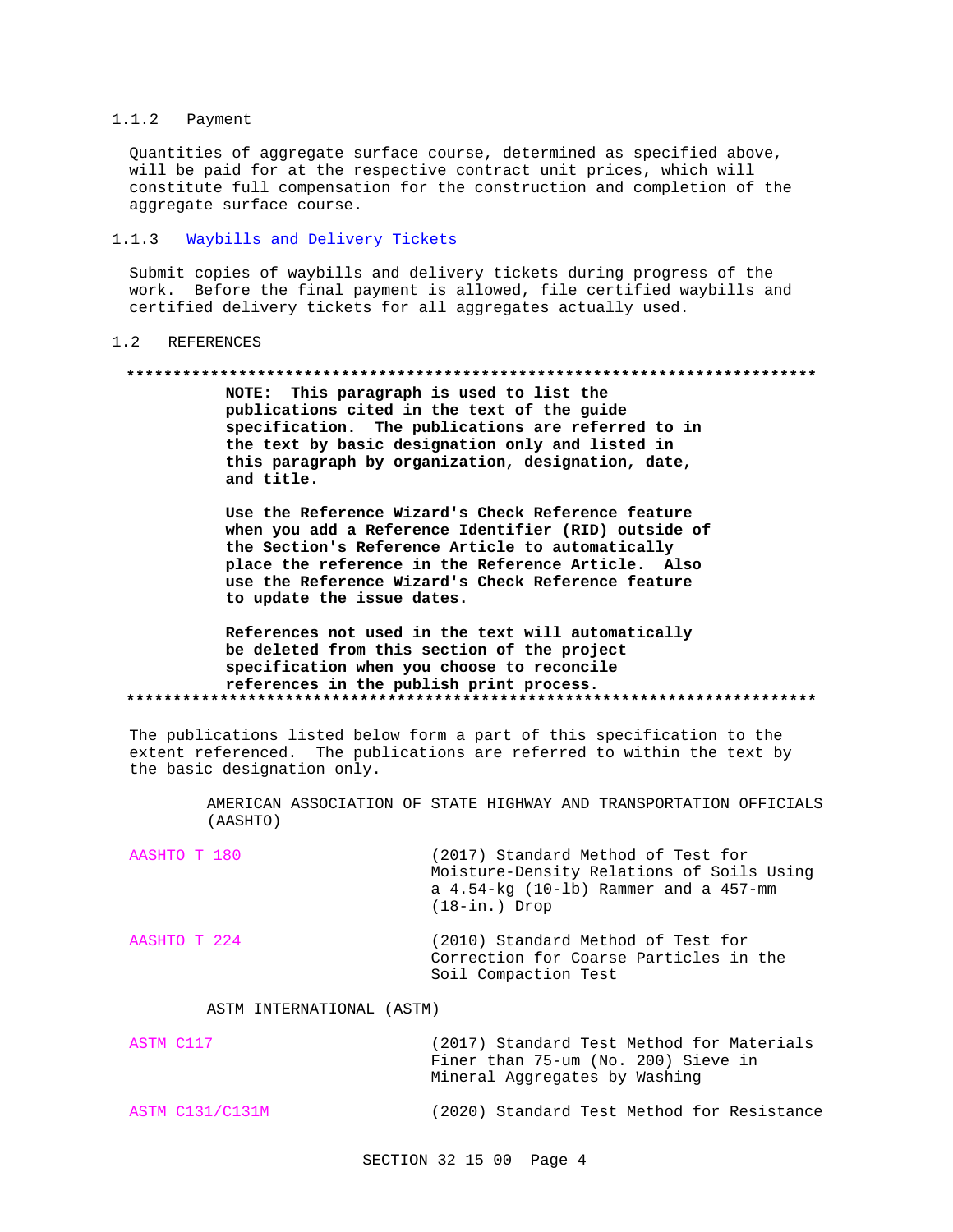#### $1.1.2$ Payment

Quantities of aggregate surface course, determined as specified above, will be paid for at the respective contract unit prices, which will constitute full compensation for the construction and completion of the aggregate surface course.

#### $1.1.3$ Waybills and Delivery Tickets

Submit copies of waybills and delivery tickets during progress of the work. Before the final payment is allowed, file certified waybills and certified delivery tickets for all aggregates actually used.

#### $1.2$ REFERENCES

### 

NOTE: This paragraph is used to list the publications cited in the text of the guide specification. The publications are referred to in the text by basic designation only and listed in this paragraph by organization, designation, date, and title.

Use the Reference Wizard's Check Reference feature when you add a Reference Identifier (RID) outside of the Section's Reference Article to automatically place the reference in the Reference Article. Also use the Reference Wizard's Check Reference feature to update the issue dates.

# References not used in the text will automatically be deleted from this section of the project specification when you choose to reconcile references in the publish print process.

The publications listed below form a part of this specification to the extent referenced. The publications are referred to within the text by the basic designation only.

> AMERICAN ASSOCIATION OF STATE HIGHWAY AND TRANSPORTATION OFFICIALS (AASHTO)

| AASHTO T 180 | (2017) Standard Method of Test for<br>Moisture-Density Relations of Soils Using<br>a $4.54$ -kg $(10$ -lb) Rammer and a $457$ -mm<br>$(18 - in.)$ Drop |
|--------------|--------------------------------------------------------------------------------------------------------------------------------------------------------|
| AASHTO T 224 | (2010) Standard Method of Test for<br>Correction for Coarse Particles in the<br>Soil Compaction Test                                                   |

### ASTM INTERNATIONAL (ASTM)

| ASTM C117 | (2017) Standard Test Method for Materials |
|-----------|-------------------------------------------|
|           | Finer than 75-um (No. 200) Sieve in       |
|           | Mineral Aggregates by Washing             |

#### **ASTM C131/C131M** (2020) Standard Test Method for Resistance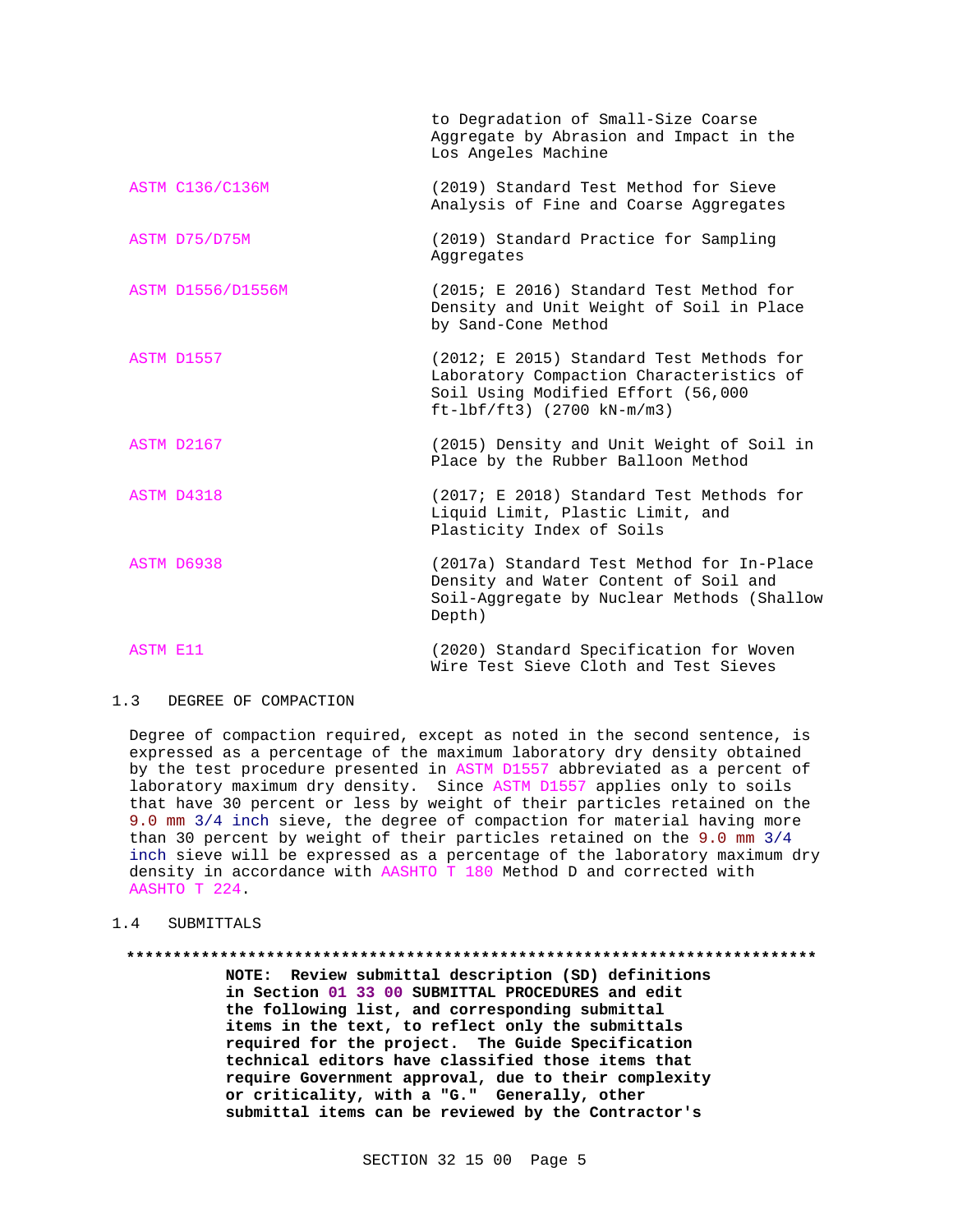|                        | to Degradation of Small-Size Coarse<br>Aggregate by Abrasion and Impact in the<br>Los Angeles Machine                                                      |  |  |
|------------------------|------------------------------------------------------------------------------------------------------------------------------------------------------------|--|--|
| <b>ASTM C136/C136M</b> | (2019) Standard Test Method for Sieve<br>Analysis of Fine and Coarse Aggregates                                                                            |  |  |
| ASTM D75/D75M          | (2019) Standard Practice for Sampling<br>Aggregates                                                                                                        |  |  |
| ASTM D1556/D1556M      | (2015; E 2016) Standard Test Method for<br>Density and Unit Weight of Soil in Place<br>by Sand-Cone Method                                                 |  |  |
| ASTM D1557             | (2012; E 2015) Standard Test Methods for<br>Laboratory Compaction Characteristics of<br>Soil Using Modified Effort (56,000<br>$ft-lbf/ft3)$ (2700 kN-m/m3) |  |  |
| ASTM D2167             | (2015) Density and Unit Weight of Soil in<br>Place by the Rubber Balloon Method                                                                            |  |  |
| ASTM D4318             | (2017; E 2018) Standard Test Methods for<br>Liquid Limit, Plastic Limit, and<br>Plasticity Index of Soils                                                  |  |  |
| ASTM D6938             | (2017a) Standard Test Method for In-Place<br>Density and Water Content of Soil and<br>Soil-Aggregate by Nuclear Methods (Shallow<br>Depth)                 |  |  |
| <b>ASTM E11</b>        | (2020) Standard Specification for Woven<br>Wire Test Sieve Cloth and Test Sieves                                                                           |  |  |

#### $1.3$ DEGREE OF COMPACTION

Degree of compaction required, except as noted in the second sentence, is expressed as a percentage of the maximum laboratory dry density obtained by the test procedure presented in ASTM D1557 abbreviated as a percent of laboratory maximum dry density. Since ASTM D1557 applies only to soils that have 30 percent or less by weight of their particles retained on the 9.0 mm 3/4 inch sieve, the degree of compaction for material having more than 30 percent by weight of their particles retained on the 9.0 mm 3/4 inch sieve will be expressed as a percentage of the laboratory maximum dry density in accordance with AASHTO T 180 Method D and corrected with AASHTO T 224.

#### $1.4$ SUBMITTALS

# 

NOTE: Review submittal description (SD) definitions in Section 01 33 00 SUBMITTAL PROCEDURES and edit the following list, and corresponding submittal items in the text, to reflect only the submittals required for the project. The Guide Specification technical editors have classified those items that require Government approval, due to their complexity or criticality, with a "G." Generally, other submittal items can be reviewed by the Contractor's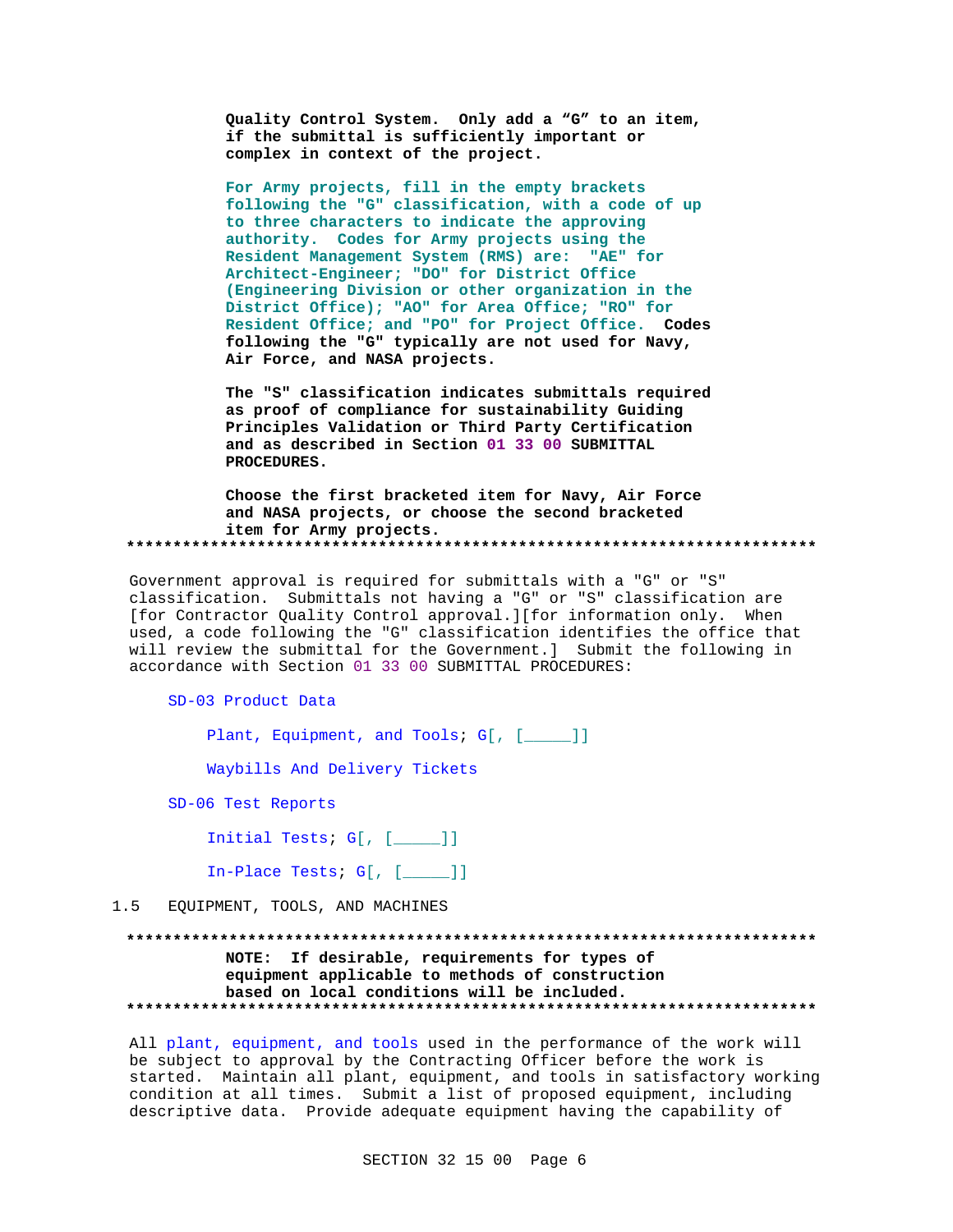Quality Control System. Only add a "G" to an item, if the submittal is sufficiently important or complex in context of the project.

For Army projects, fill in the empty brackets following the "G" classification, with a code of up to three characters to indicate the approving authority. Codes for Army projects using the Resident Management System (RMS) are: "AE" for Architect-Engineer; "DO" for District Office (Engineering Division or other organization in the District Office); "AO" for Area Office; "RO" for Resident Office; and "PO" for Project Office. Codes following the "G" typically are not used for Navy, Air Force, and NASA projects.

The "S" classification indicates submittals required as proof of compliance for sustainability Guiding Principles Validation or Third Party Certification and as described in Section 01 33 00 SUBMITTAL PROCEDURES.

Choose the first bracketed item for Navy, Air Force and NASA projects, or choose the second bracketed item for Army projects. 

Government approval is required for submittals with a "G" or "S" classification. Submittals not having a "G" or "S" classification are [for Contractor Quality Control approval.][for information only. When used, a code following the "G" classification identifies the office that will review the submittal for the Government.] Submit the following in accordance with Section 01 33 00 SUBMITTAL PROCEDURES:

SD-03 Product Data

Plant, Equipment, and Tools; G[, [\_\_\_\_]]

Waybills And Delivery Tickets

SD-06 Test Reports

Initial Tests;  $G[$ ,  $[\underline{\hspace{1cm}}\underline{\hspace{1cm}}\phantom{1}]$ 

In-Place Tests;  $G[$ ,  $[\underline{\hspace{1cm}}\underline{\hspace{1cm}}\phantom{1}]]$ 

EQUIPMENT, TOOLS, AND MACHINES  $1.5$ 

# NOTE: If desirable, requirements for types of equipment applicable to methods of construction based on local conditions will be included.

All plant, equipment, and tools used in the performance of the work will be subject to approval by the Contracting Officer before the work is started. Maintain all plant, equipment, and tools in satisfactory working condition at all times. Submit a list of proposed equipment, including descriptive data. Provide adequate equipment having the capability of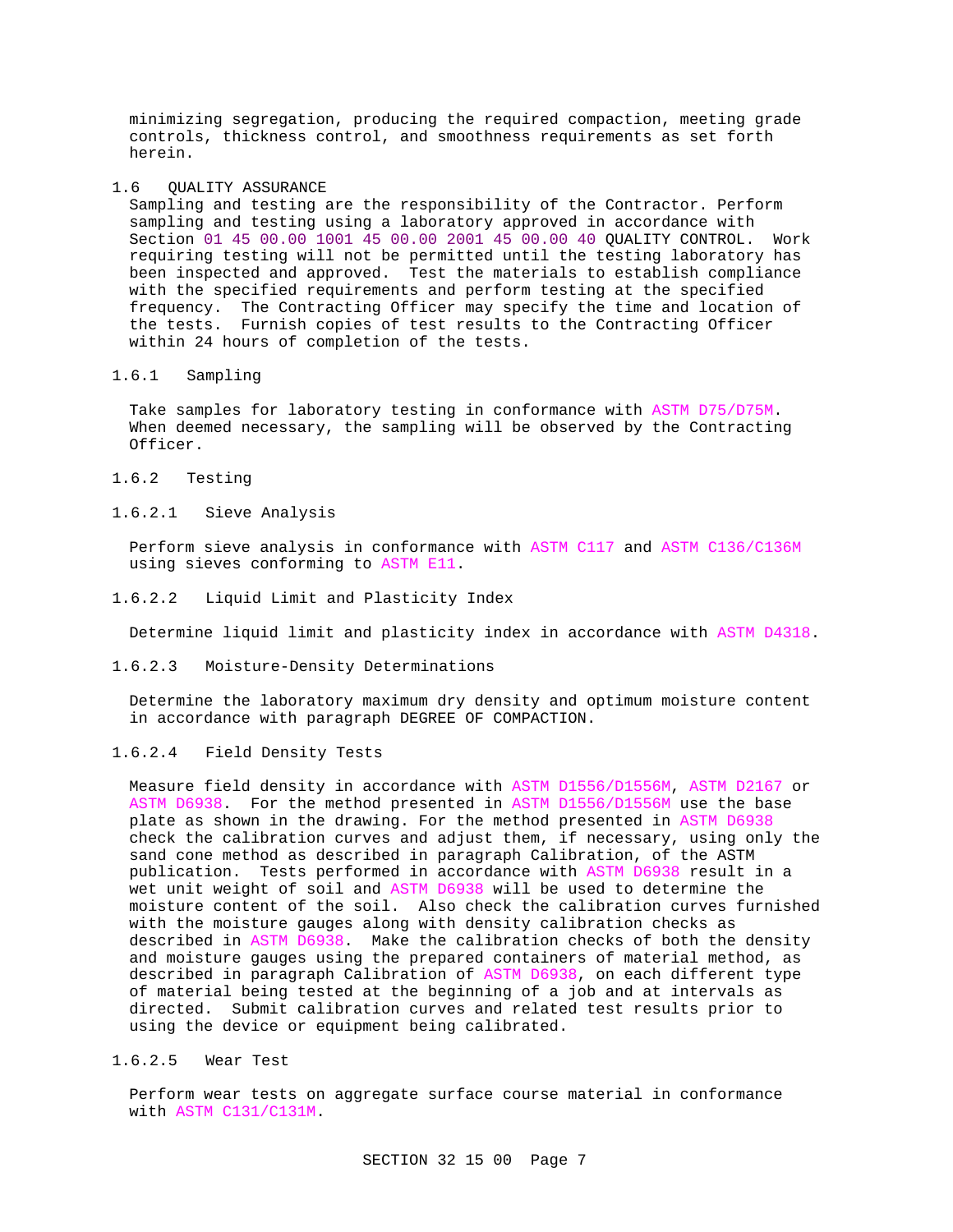minimizing segregation, producing the required compaction, meeting grade controls, thickness control, and smoothness requirements as set forth herein.

1.6 QUALITY ASSURANCE

Sampling and testing are the responsibility of the Contractor. Perform sampling and testing using a laboratory approved in accordance with Section 01 45 00.00 1001 45 00.00 2001 45 00.00 40 QUALITY CONTROL. Work requiring testing will not be permitted until the testing laboratory has been inspected and approved. Test the materials to establish compliance with the specified requirements and perform testing at the specified frequency. The Contracting Officer may specify the time and location of the tests. Furnish copies of test results to the Contracting Officer within 24 hours of completion of the tests.

# 1.6.1 Sampling

Take samples for laboratory testing in conformance with ASTM D75/D75M. When deemed necessary, the sampling will be observed by the Contracting Officer.

1.6.2 Testing

# 1.6.2.1 Sieve Analysis

Perform sieve analysis in conformance with ASTM C117 and ASTM C136/C136M using sieves conforming to ASTM E11.

1.6.2.2 Liquid Limit and Plasticity Index

Determine liquid limit and plasticity index in accordance with ASTM D4318.

1.6.2.3 Moisture-Density Determinations

Determine the laboratory maximum dry density and optimum moisture content in accordance with paragraph DEGREE OF COMPACTION.

## 1.6.2.4 Field Density Tests

Measure field density in accordance with ASTM D1556/D1556M, ASTM D2167 or ASTM D6938. For the method presented in ASTM D1556/D1556M use the base plate as shown in the drawing. For the method presented in ASTM D6938 check the calibration curves and adjust them, if necessary, using only the sand cone method as described in paragraph Calibration, of the ASTM publication. Tests performed in accordance with ASTM D6938 result in a wet unit weight of soil and ASTM D6938 will be used to determine the moisture content of the soil. Also check the calibration curves furnished with the moisture gauges along with density calibration checks as described in ASTM D6938. Make the calibration checks of both the density and moisture gauges using the prepared containers of material method, as described in paragraph Calibration of ASTM D6938, on each different type of material being tested at the beginning of a job and at intervals as directed. Submit calibration curves and related test results prior to using the device or equipment being calibrated.

# 1.6.2.5 Wear Test

Perform wear tests on aggregate surface course material in conformance with ASTM C131/C131M.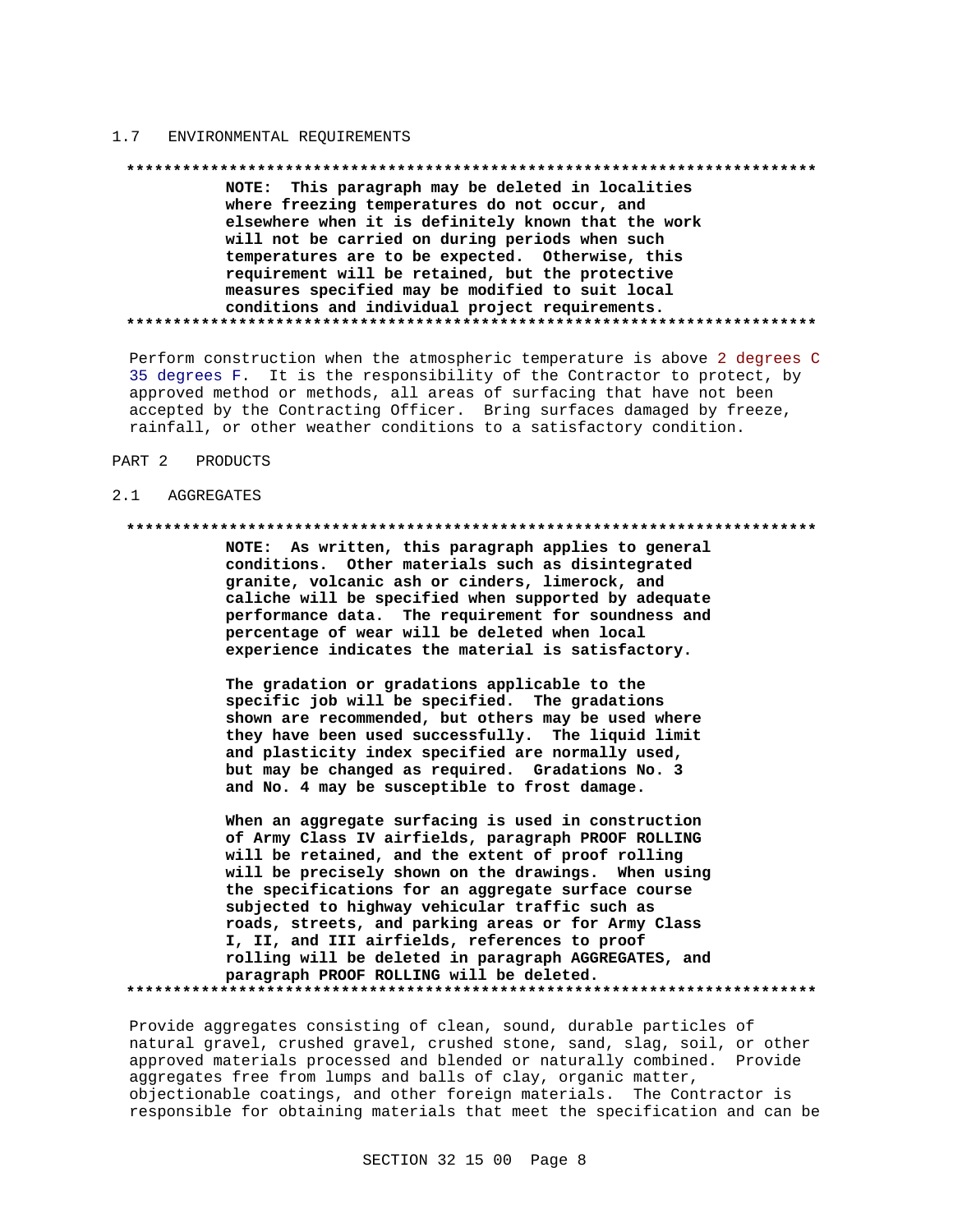#### $1.7$ ENVIRONMENTAL REQUIREMENTS

#### 

NOTE: This paragraph may be deleted in localities where freezing temperatures do not occur, and elsewhere when it is definitely known that the work will not be carried on during periods when such temperatures are to be expected. Otherwise, this requirement will be retained, but the protective measures specified may be modified to suit local conditions and individual project requirements. 

Perform construction when the atmospheric temperature is above 2 degrees C 35 degrees F. It is the responsibility of the Contractor to protect, by approved method or methods, all areas of surfacing that have not been accepted by the Contracting Officer. Bring surfaces damaged by freeze, rainfall, or other weather conditions to a satisfactory condition.

#### PART 2 PRODUCTS

#### $2.1$ AGGREGATES

### 

NOTE: As written, this paragraph applies to general conditions. Other materials such as disintegrated granite, volcanic ash or cinders, limerock, and caliche will be specified when supported by adequate performance data. The requirement for soundness and percentage of wear will be deleted when local experience indicates the material is satisfactory.

The gradation or gradations applicable to the specific job will be specified. The gradations shown are recommended, but others may be used where they have been used successfully. The liquid limit and plasticity index specified are normally used, but may be changed as required. Gradations No. 3 and No. 4 may be susceptible to frost damage.

When an aggregate surfacing is used in construction of Army Class IV airfields, paragraph PROOF ROLLING will be retained, and the extent of proof rolling will be precisely shown on the drawings. When using the specifications for an aggregate surface course subjected to highway vehicular traffic such as roads, streets, and parking areas or for Army Class I, II, and III airfields, references to proof rolling will be deleted in paragraph AGGREGATES, and paragraph PROOF ROLLING will be deleted. 

Provide aggregates consisting of clean, sound, durable particles of natural gravel, crushed gravel, crushed stone, sand, slag, soil, or other approved materials processed and blended or naturally combined. Provide aggregates free from lumps and balls of clay, organic matter, objectionable coatings, and other foreign materials. The Contractor is responsible for obtaining materials that meet the specification and can be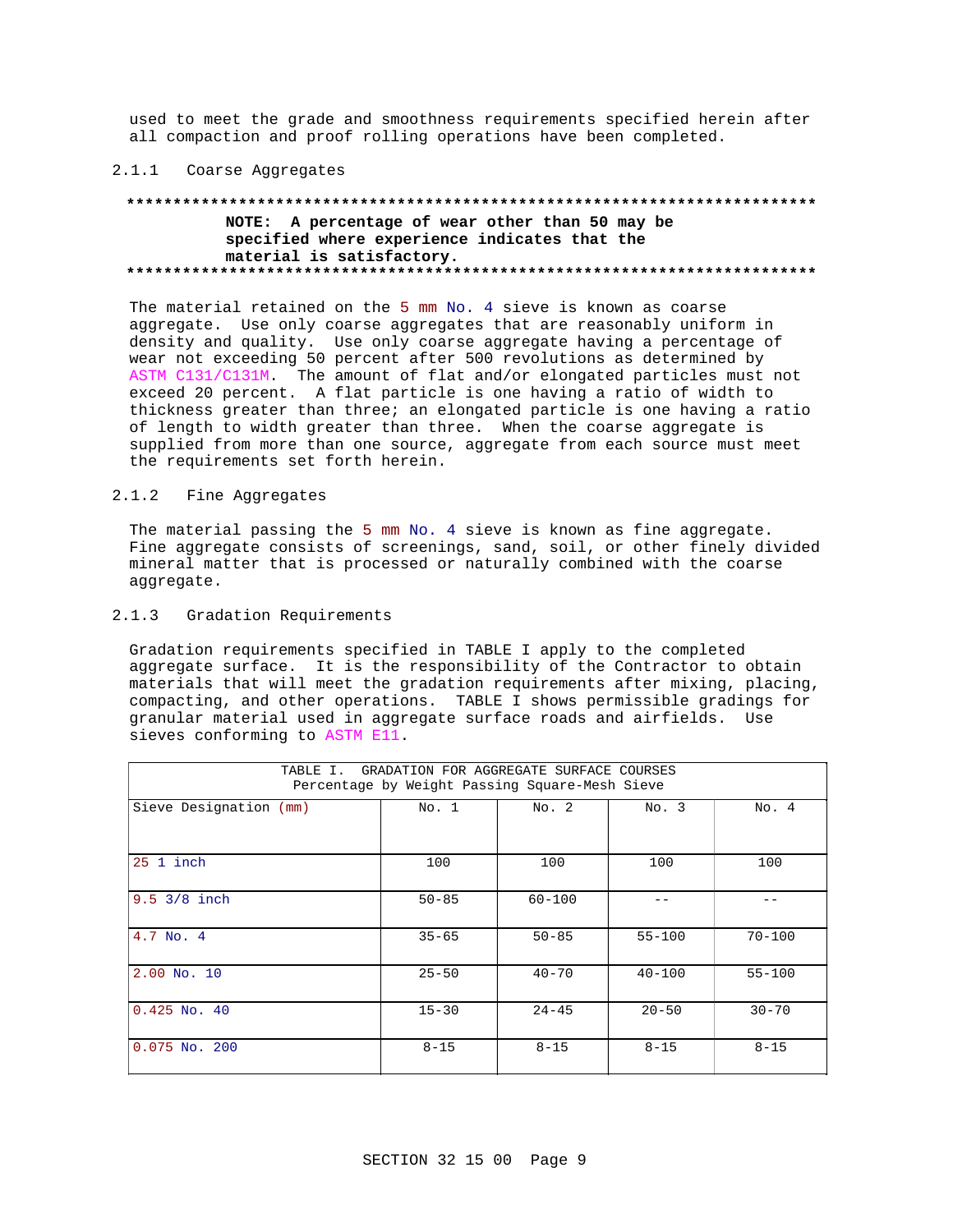used to meet the grade and smoothness requirements specified herein after all compaction and proof rolling operations have been completed.

### 2.1.1 Coarse Aggregates

# **\*\*\*\*\*\*\*\*\*\*\*\*\*\*\*\*\*\*\*\*\*\*\*\*\*\*\*\*\*\*\*\*\*\*\*\*\*\*\*\*\*\*\*\*\*\*\*\*\*\*\*\*\*\*\*\*\*\*\*\*\*\*\*\*\*\*\*\*\*\*\*\*\*\* NOTE: A percentage of wear other than 50 may be specified where experience indicates that the material is satisfactory. \*\*\*\*\*\*\*\*\*\*\*\*\*\*\*\*\*\*\*\*\*\*\*\*\*\*\*\*\*\*\*\*\*\*\*\*\*\*\*\*\*\*\*\*\*\*\*\*\*\*\*\*\*\*\*\*\*\*\*\*\*\*\*\*\*\*\*\*\*\*\*\*\*\***

The material retained on the 5 mm No. 4 sieve is known as coarse aggregate. Use only coarse aggregates that are reasonably uniform in density and quality. Use only coarse aggregate having a percentage of wear not exceeding 50 percent after 500 revolutions as determined by ASTM C131/C131M. The amount of flat and/or elongated particles must not exceed 20 percent. A flat particle is one having a ratio of width to thickness greater than three; an elongated particle is one having a ratio of length to width greater than three. When the coarse aggregate is supplied from more than one source, aggregate from each source must meet the requirements set forth herein.

## 2.1.2 Fine Aggregates

The material passing the 5 mm No. 4 sieve is known as fine aggregate. Fine aggregate consists of screenings, sand, soil, or other finely divided mineral matter that is processed or naturally combined with the coarse aggregate.

# 2.1.3 Gradation Requirements

Gradation requirements specified in TABLE I apply to the completed aggregate surface. It is the responsibility of the Contractor to obtain materials that will meet the gradation requirements after mixing, placing, compacting, and other operations. TABLE I shows permissible gradings for granular material used in aggregate surface roads and airfields. Use sieves conforming to ASTM E11.

| GRADATION FOR AGGREGATE SURFACE COURSES<br>TABLE I.<br>Percentage by Weight Passing Square-Mesh Sieve |           |            |            |            |  |  |  |
|-------------------------------------------------------------------------------------------------------|-----------|------------|------------|------------|--|--|--|
| Sieve Designation (mm)                                                                                | No. 1     | No. 2      | No. 3      | No. 4      |  |  |  |
| $25$ 1 inch                                                                                           | 100       | 100        | 100        | 100        |  |  |  |
| $9.5 \frac{3}{8}$ inch                                                                                | $50 - 85$ | $60 - 100$ |            |            |  |  |  |
| 4.7 No. 4                                                                                             | $35 - 65$ | $50 - 85$  | $55 - 100$ | $70 - 100$ |  |  |  |
| $2.00$ No. 10                                                                                         | $25 - 50$ | $40 - 70$  | $40 - 100$ | $55 - 100$ |  |  |  |
| $0.425$ No. $40$                                                                                      | $15 - 30$ | $24 - 45$  | $20 - 50$  | $30 - 70$  |  |  |  |
| $0.075$ No. 200                                                                                       | $8 - 15$  | $8 - 15$   | $8 - 15$   | $8 - 15$   |  |  |  |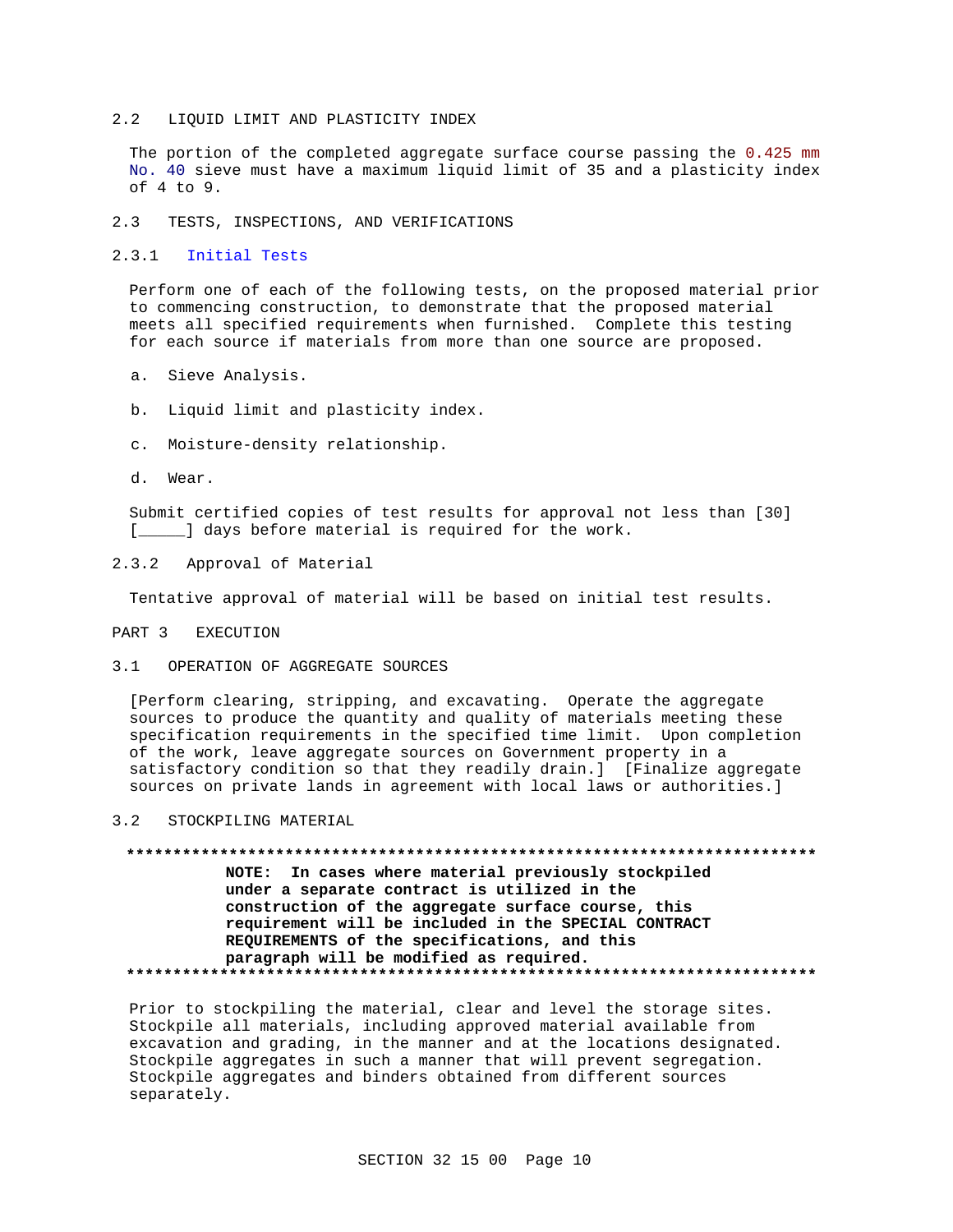#### LIOUID LIMIT AND PLASTICITY INDEX  $2, 2$

The portion of the completed aggregate surface course passing the 0.425 mm No. 40 sieve must have a maximum liquid limit of 35 and a plasticity index of 4 to 9.

#### $2.3$ TESTS, INSPECTIONS, AND VERIFICATIONS

#### $2.3.1$ Initial Tests

Perform one of each of the following tests, on the proposed material prior to commencing construction, to demonstrate that the proposed material meets all specified requirements when furnished. Complete this testing for each source if materials from more than one source are proposed.

- a. Sieve Analysis.
- b. Liquid limit and plasticity index.
- c. Moisture-density relationship.
- d. Wear.

Submit certified copies of test results for approval not less than [30] [\_\_\_\_\_] days before material is required for the work.

#### $2.3.2$ Approval of Material

Tentative approval of material will be based on initial test results.

#### PART<sub>3</sub> **EXECUTION**

#### OPERATION OF AGGREGATE SOURCES  $3 \quad 1$

[Perform clearing, stripping, and excavating. Operate the aggregate sources to produce the quantity and quality of materials meeting these specification requirements in the specified time limit. Upon completion of the work, leave aggregate sources on Government property in a satisfactory condition so that they readily drain.] [Finalize aggregate sources on private lands in agreement with local laws or authorities.]

#### $3.2$ STOCKPILING MATERIAL

NOTE: In cases where material previously stockpiled under a separate contract is utilized in the construction of the aggregate surface course, this requirement will be included in the SPECIAL CONTRACT REQUIREMENTS of the specifications, and this paragraph will be modified as required. 

Prior to stockpiling the material, clear and level the storage sites. Stockpile all materials, including approved material available from excavation and grading, in the manner and at the locations designated. Stockpile aggregates in such a manner that will prevent segregation. Stockpile aggregates and binders obtained from different sources separately.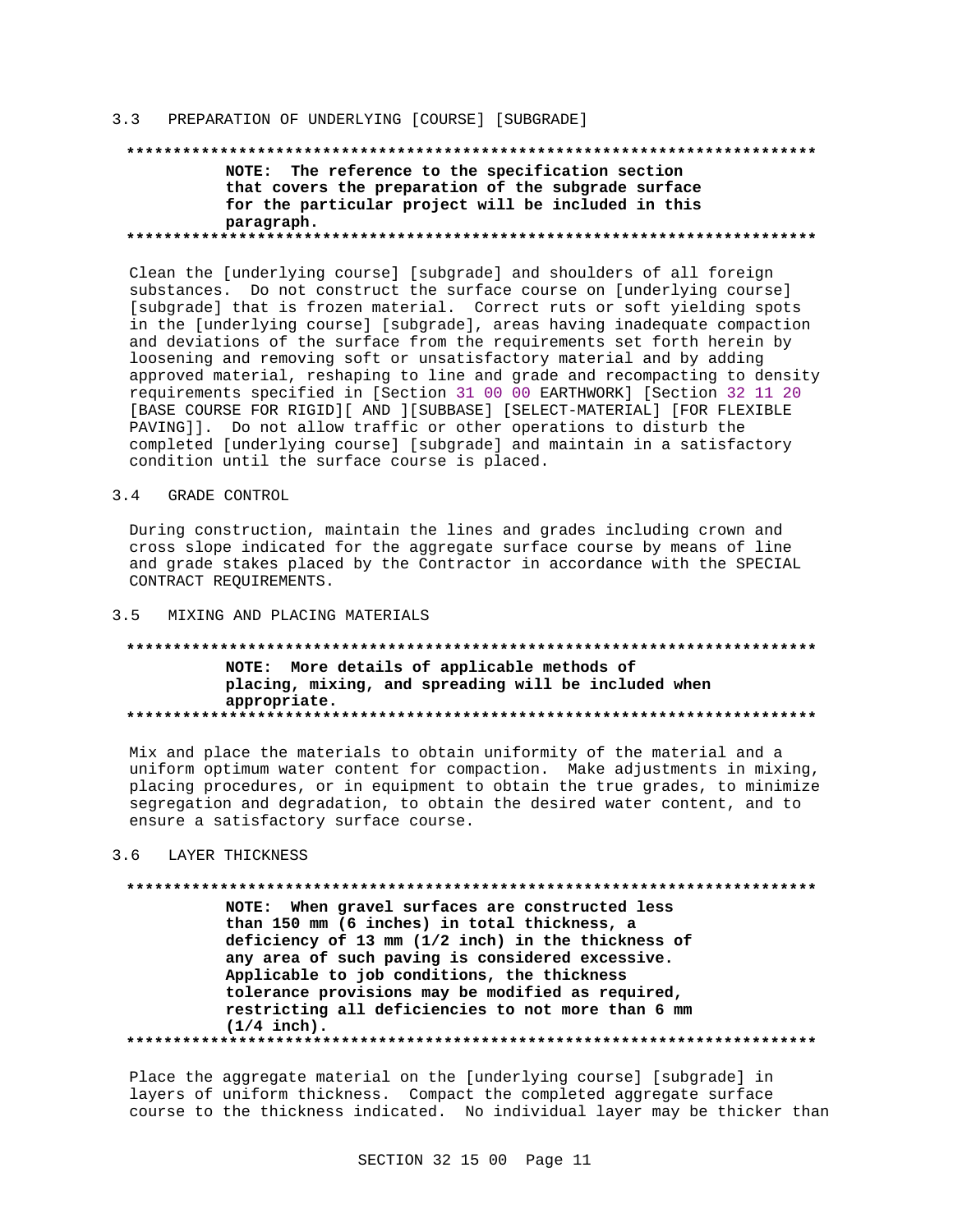## 3.3 PREPARATION OF UNDERLYING [COURSE] [SUBGRADE]

# **\*\*\*\*\*\*\*\*\*\*\*\*\*\*\*\*\*\*\*\*\*\*\*\*\*\*\*\*\*\*\*\*\*\*\*\*\*\*\*\*\*\*\*\*\*\*\*\*\*\*\*\*\*\*\*\*\*\*\*\*\*\*\*\*\*\*\*\*\*\*\*\*\*\* NOTE: The reference to the specification section that covers the preparation of the subgrade surface for the particular project will be included in this paragraph. \*\*\*\*\*\*\*\*\*\*\*\*\*\*\*\*\*\*\*\*\*\*\*\*\*\*\*\*\*\*\*\*\*\*\*\*\*\*\*\*\*\*\*\*\*\*\*\*\*\*\*\*\*\*\*\*\*\*\*\*\*\*\*\*\*\*\*\*\*\*\*\*\*\***

Clean the [underlying course] [subgrade] and shoulders of all foreign substances. Do not construct the surface course on [underlying course] [subgrade] that is frozen material. Correct ruts or soft yielding spots in the [underlying course] [subgrade], areas having inadequate compaction and deviations of the surface from the requirements set forth herein by loosening and removing soft or unsatisfactory material and by adding approved material, reshaping to line and grade and recompacting to density requirements specified in [Section 31 00 00 EARTHWORK] [Section 32 11 20 [BASE COURSE FOR RIGID][ AND ][SUBBASE] [SELECT-MATERIAL] [FOR FLEXIBLE PAVING]]. Do not allow traffic or other operations to disturb the completed [underlying course] [subgrade] and maintain in a satisfactory condition until the surface course is placed.

### 3.4 GRADE CONTROL

During construction, maintain the lines and grades including crown and cross slope indicated for the aggregate surface course by means of line and grade stakes placed by the Contractor in accordance with the SPECIAL CONTRACT REQUIREMENTS.

## 3.5 MIXING AND PLACING MATERIALS

# **\*\*\*\*\*\*\*\*\*\*\*\*\*\*\*\*\*\*\*\*\*\*\*\*\*\*\*\*\*\*\*\*\*\*\*\*\*\*\*\*\*\*\*\*\*\*\*\*\*\*\*\*\*\*\*\*\*\*\*\*\*\*\*\*\*\*\*\*\*\*\*\*\*\* NOTE: More details of applicable methods of placing, mixing, and spreading will be included when appropriate. \*\*\*\*\*\*\*\*\*\*\*\*\*\*\*\*\*\*\*\*\*\*\*\*\*\*\*\*\*\*\*\*\*\*\*\*\*\*\*\*\*\*\*\*\*\*\*\*\*\*\*\*\*\*\*\*\*\*\*\*\*\*\*\*\*\*\*\*\*\*\*\*\*\***

Mix and place the materials to obtain uniformity of the material and a uniform optimum water content for compaction. Make adjustments in mixing, placing procedures, or in equipment to obtain the true grades, to minimize segregation and degradation, to obtain the desired water content, and to ensure a satisfactory surface course.

# 3.6 LAYER THICKNESS

# **\*\*\*\*\*\*\*\*\*\*\*\*\*\*\*\*\*\*\*\*\*\*\*\*\*\*\*\*\*\*\*\*\*\*\*\*\*\*\*\*\*\*\*\*\*\*\*\*\*\*\*\*\*\*\*\*\*\*\*\*\*\*\*\*\*\*\*\*\*\*\*\*\*\* NOTE: When gravel surfaces are constructed less than 150 mm (6 inches) in total thickness, a deficiency of 13 mm (1/2 inch) in the thickness of any area of such paving is considered excessive. Applicable to job conditions, the thickness tolerance provisions may be modified as required, restricting all deficiencies to not more than 6 mm (1/4 inch). \*\*\*\*\*\*\*\*\*\*\*\*\*\*\*\*\*\*\*\*\*\*\*\*\*\*\*\*\*\*\*\*\*\*\*\*\*\*\*\*\*\*\*\*\*\*\*\*\*\*\*\*\*\*\*\*\*\*\*\*\*\*\*\*\*\*\*\*\*\*\*\*\*\***

Place the aggregate material on the [underlying course] [subgrade] in layers of uniform thickness. Compact the completed aggregate surface course to the thickness indicated. No individual layer may be thicker than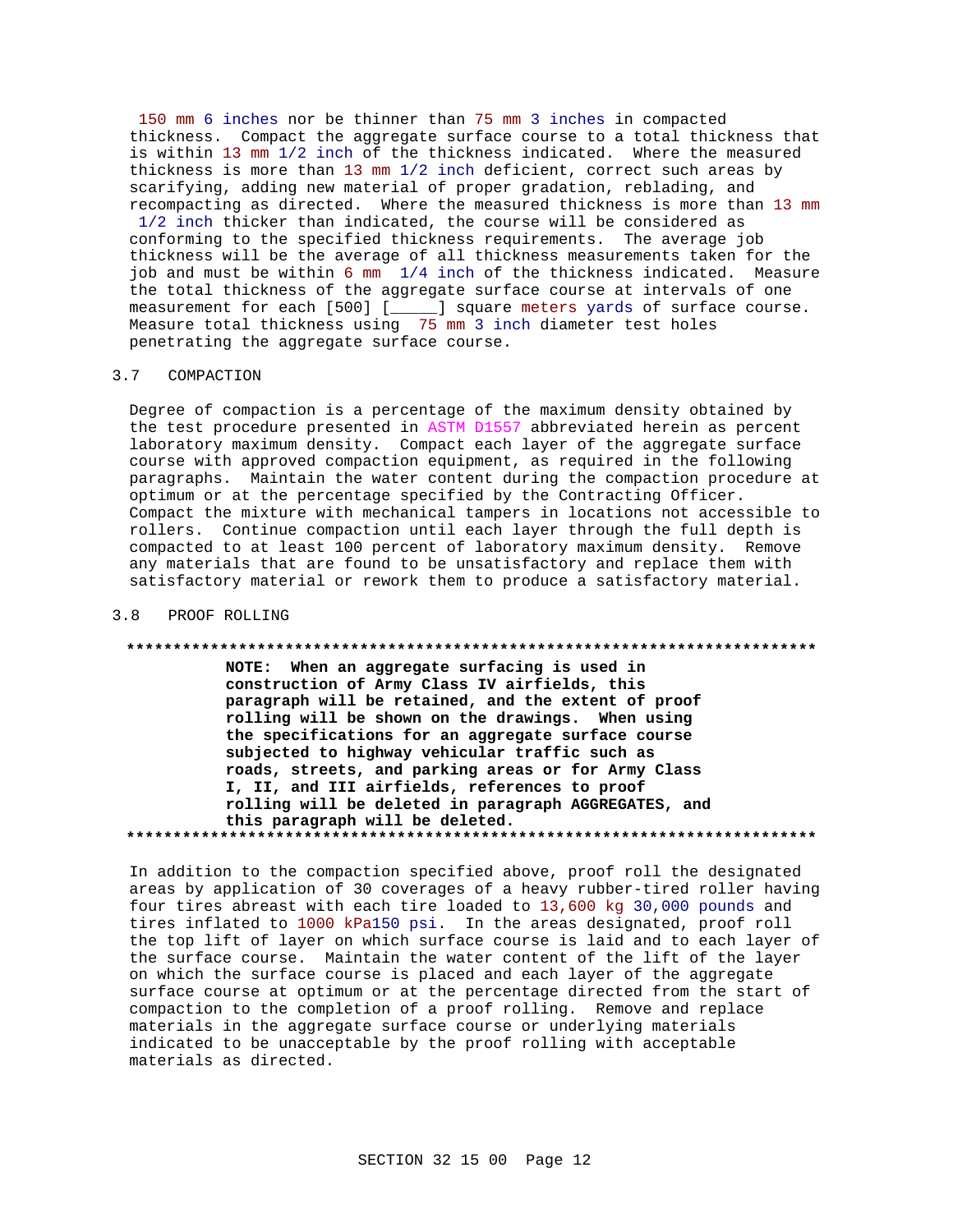150 mm 6 inches nor be thinner than 75 mm 3 inches in compacted thickness. Compact the aggregate surface course to a total thickness that is within 13 mm 1/2 inch of the thickness indicated. Where the measured thickness is more than 13 mm 1/2 inch deficient, correct such areas by scarifying, adding new material of proper gradation, reblading, and recompacting as directed. Where the measured thickness is more than 13 mm 1/2 inch thicker than indicated, the course will be considered as conforming to the specified thickness requirements. The average job thickness will be the average of all thickness measurements taken for the job and must be within 6 mm 1/4 inch of the thickness indicated. Measure the total thickness of the aggregate surface course at intervals of one measurement for each [500] [\_\_\_\_\_] square meters yards of surface course. Measure total thickness using 75 mm 3 inch diameter test holes penetrating the aggregate surface course.

# 3.7 COMPACTION

Degree of compaction is a percentage of the maximum density obtained by the test procedure presented in ASTM D1557 abbreviated herein as percent laboratory maximum density. Compact each layer of the aggregate surface course with approved compaction equipment, as required in the following paragraphs. Maintain the water content during the compaction procedure at optimum or at the percentage specified by the Contracting Officer. Compact the mixture with mechanical tampers in locations not accessible to rollers. Continue compaction until each layer through the full depth is compacted to at least 100 percent of laboratory maximum density. Remove any materials that are found to be unsatisfactory and replace them with satisfactory material or rework them to produce a satisfactory material.

## 3.8 PROOF ROLLING

### **\*\*\*\*\*\*\*\*\*\*\*\*\*\*\*\*\*\*\*\*\*\*\*\*\*\*\*\*\*\*\*\*\*\*\*\*\*\*\*\*\*\*\*\*\*\*\*\*\*\*\*\*\*\*\*\*\*\*\*\*\*\*\*\*\*\*\*\*\*\*\*\*\*\***

**NOTE: When an aggregate surfacing is used in construction of Army Class IV airfields, this paragraph will be retained, and the extent of proof rolling will be shown on the drawings. When using the specifications for an aggregate surface course subjected to highway vehicular traffic such as roads, streets, and parking areas or for Army Class I, II, and III airfields, references to proof rolling will be deleted in paragraph AGGREGATES, and this paragraph will be deleted. \*\*\*\*\*\*\*\*\*\*\*\*\*\*\*\*\*\*\*\*\*\*\*\*\*\*\*\*\*\*\*\*\*\*\*\*\*\*\*\*\*\*\*\*\*\*\*\*\*\*\*\*\*\*\*\*\*\*\*\*\*\*\*\*\*\*\*\*\*\*\*\*\*\***

In addition to the compaction specified above, proof roll the designated areas by application of 30 coverages of a heavy rubber-tired roller having four tires abreast with each tire loaded to 13,600 kg 30,000 pounds and tires inflated to 1000 kPa150 psi. In the areas designated, proof roll the top lift of layer on which surface course is laid and to each layer of the surface course. Maintain the water content of the lift of the layer on which the surface course is placed and each layer of the aggregate surface course at optimum or at the percentage directed from the start of compaction to the completion of a proof rolling. Remove and replace materials in the aggregate surface course or underlying materials indicated to be unacceptable by the proof rolling with acceptable materials as directed.